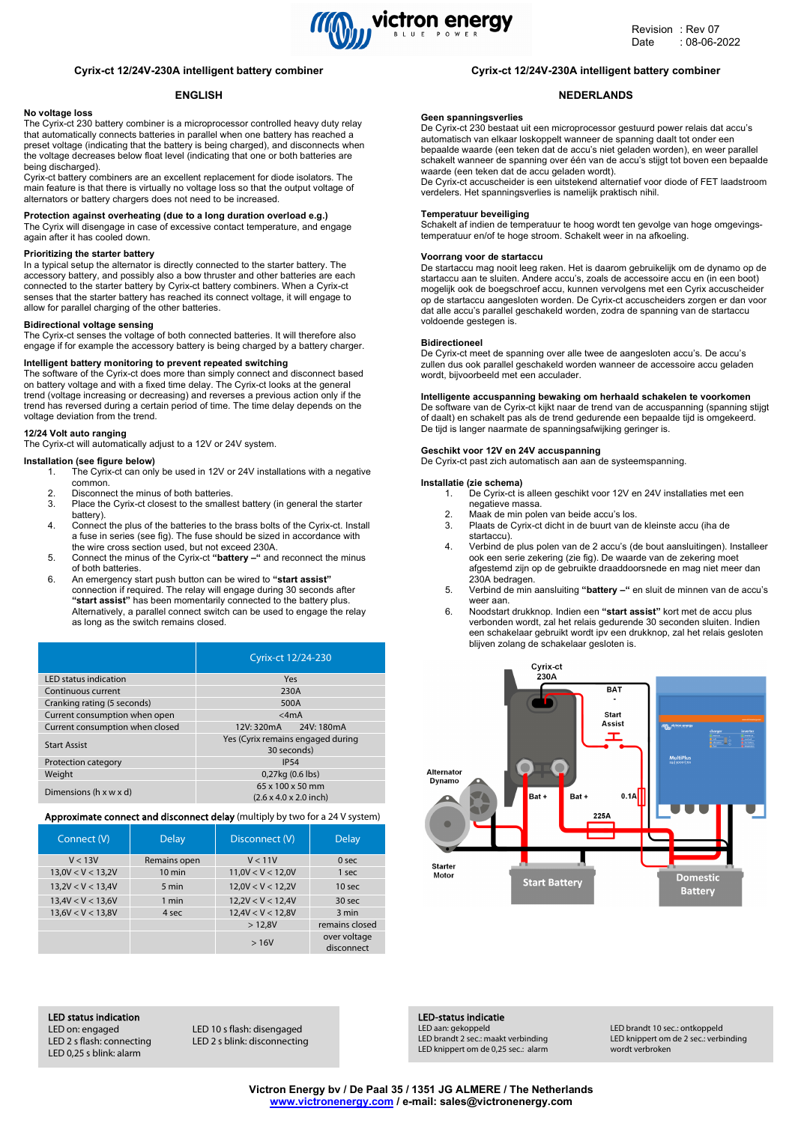

# **Cyrix-ct 12/24V-230A intelligent battery combiner**

# **ENGLISH**

# **No voltage loss**

The Cyrix-ct 230 battery combiner is a microprocessor controlled heavy duty relay that automatically connects batteries in parallel when one battery has reached a preset voltage (indicating that the battery is being charged), and disconnects when the voltage decreases below float level (indicating that one or both batteries are being discharged).

Cyrix-ct battery combiners are an excellent replacement for diode isolators. The main feature is that there is virtually no voltage loss so that the output voltage of alternators or battery chargers does not need to be increased.

#### **Protection against overheating (due to a long duration overload e.g.)**

The Cyrix will disengage in case of excessive contact temperature, and engage again after it has cooled down.

# **Prioritizing the starter battery**

In a typical setup the alternator is directly connected to the starter battery. The accessory battery, and possibly also a bow thruster and other batteries are each connected to the starter battery by Cyrix-ct battery combiners. When a Cyrix-ct senses that the starter battery has reached its connect voltage, it will engage to allow for parallel charging of the other batteries.

#### **Bidirectional voltage sensing**

The Cyrix-ct senses the voltage of both connected batteries. It will therefore also engage if for example the accessory battery is being charged by a battery charger.

# **Intelligent battery monitoring to prevent repeated switching**

The software of the Cyrix-ct does more than simply connect and disconnect based on battery voltage and with a fixed time delay. The Cyrix-ct looks at the general trend (voltage increasing or decreasing) and reverses a previous action only if the trend has reversed during a certain period of time. The time delay depends on the voltage deviation from the trend.

# **12/24 Volt auto ranging**

The Cyrix-ct will automatically adjust to a 12V or 24V system.

- **Installation (see figure below)**
	- The Cyrix-ct can only be used in 12V or 24V installations with a negative common.
	- 2. Disconnect the minus of both batteries.<br>3. Place the Cyrix-ct closest to the smaller
	- Place the Cyrix-ct closest to the smallest battery (in general the starter battery).
	- 4. Connect the plus of the batteries to the brass bolts of the Cyrix-ct. Install a fuse in series (see fig). The fuse should be sized in accordance with the wire cross section used, but not exceed 230A.
	- 5. Connect the minus of the Cyrix-ct **"battery –"** and reconnect the minus of both batteries.
	- 6. An emergency start push button can be wired to **"start assist"** connection if required. The relay will engage during 30 seconds after **"start assist"** has been momentarily connected to the battery plus. Alternatively, a parallel connect switch can be used to engage the relay as long as the switch remains closed.

|                                 | Cyrix-ct 12/24-230                                             |  |
|---------------------------------|----------------------------------------------------------------|--|
| <b>LED</b> status indication    | Yes                                                            |  |
| Continuous current              | 230A                                                           |  |
| Cranking rating (5 seconds)     | 500A                                                           |  |
| Current consumption when open   | $<$ 4m $A$                                                     |  |
| Current consumption when closed | 24V: 180mA<br>12V: 320mA                                       |  |
| <b>Start Assist</b>             | Yes (Cyrix remains engaged during<br>30 seconds)               |  |
| Protection category             | <b>IP54</b>                                                    |  |
| Weight                          | 0,27kg (0.6 lbs)                                               |  |
| Dimensions (h x w x d)          | 65 x 100 x 50 mm<br>$(2.6 \times 4.0 \times 2.0 \text{ inch})$ |  |

# Approximate connect and disconnect delay (multiply by two for a 24 V system)

| Connect (V)       | <b>Delay</b>     | Disconnect (V)    | <b>Delay</b>               |
|-------------------|------------------|-------------------|----------------------------|
| V < 13V           | Remains open     | V < 11V           | 0 <sub>sec</sub>           |
| 13,0V < V < 13,2V | $10 \text{ min}$ | 11,0V < V < 12,0V | 1 sec                      |
| 13,2V < V < 13,4V | 5 min            | 12,0V < V < 12,2V | 10 <sub>sec</sub>          |
| 13,4V < V < 13,6V | 1 min            | 12,2V < V < 12,4V | 30 <sub>sec</sub>          |
| 13,6V < V < 13,8V | 4 sec            | 12,4V < V < 12,8V | 3 min                      |
|                   |                  | > 12,8V           | remains closed             |
|                   |                  | >16V              | over voltage<br>disconnect |

# LED status indication

LED 0,25 s blink: alarm

LED 10 s flash: engaged LED 10 s flash: disengaged<br>LED 2 s flash: connecting LED 2 s blink: disconnecting LED 2 s blink: disconnecting

# **Cyrix-ct 12/24V-230A intelligent battery combiner**

# **NEDERLANDS**

#### **Geen spanningsverlies**

De Cyrix-ct 230 bestaat uit een microprocessor gestuurd power relais dat accu's automatisch van elkaar loskoppelt wanneer de spanning daalt tot onder een bepaalde waarde (een teken dat de accu's niet geladen worden), en weer parallel schakelt wanneer de spanning over één van de accu's stijgt tot boven een bepaalde waarde (een teken dat de accu geladen wordt).

De Cyrix-ct accuscheider is een uitstekend alternatief voor diode of FET laadstroom verdelers. Het spanningsverlies is namelijk praktisch nihil.

**Temperatuur beveiliging** Schakelt af indien de temperatuur te hoog wordt ten gevolge van hoge omgevingstemperatuur en/of te hoge stroom. Schakelt weer in na afkoeling.

#### **Voorrang voor de startaccu**

De startaccu mag nooit leeg raken. Het is daarom gebruikelijk om de dynamo op de startaccu aan te sluiten. Andere accu's, zoals de accessoire accu en (in een boot) mogelijk ook de boegschroef accu, kunnen vervolgens met een Cyrix accuscheider op de startaccu aangesloten worden. De Cyrix-ct accuscheiders zorgen er dan voor dat alle accu's parallel geschakeld worden, zodra de spanning van de startaccu voldoende gestegen is.

#### **Bidirectioneel**

De Cyrix-ct meet de spanning over alle twee de aangesloten accu's. De accu's zullen dus ook parallel geschakeld worden wanneer de accessoire accu geladen wordt, bijvoorbeeld met een acculader.

**Intelligente accuspanning bewaking om herhaald schakelen te voorkomen** De software van de Cyrix-ct kijkt naar de trend van de accuspanning (spanning stijgt of daalt) en schakelt pas als de trend gedurende een bepaalde tijd is omgekeerd. De tijd is langer naarmate de spanningsafwijking geringer is.

**Geschikt voor 12V en 24V accuspanning** De Cyrix-ct past zich automatisch aan aan de systeemspanning.

# **Installatie (zie schema)**

- De Cyrix-ct is alleen geschikt voor 12V en 24V installaties met een negatieve massa.
- 2. Maak de min polen van beide accu's los.
- 3. Plaats de Cyrix-ct dicht in de buurt van de kleinste accu (iha de startaccu).
- 4. Verbind de plus polen van de 2 accu's (de bout aansluitingen). Installeer ook een serie zekering (zie fig). De waarde van de zekering moet afgestemd zijn op de gebruikte draaddoorsnede en mag niet meer dan 230A bedragen
- 5. Verbind de min aansluiting **"battery –"** en sluit de minnen van de accu's weer aan.
- 6. Noodstart drukknop. Indien een **"start assist"** kort met de accu plus verbonden wordt, zal het relais gedurende 30 seconden sluiten. Indien een schakelaar gebruikt wordt ipv een drukknop, zal het relais gesloten blijven zolang de schakelaar gesloten is.



LED-status indicatie<br>LED aan: gekoppeld LED knippert om de 0,25 sec.: alarm wordt verbroken

LED brandt 10 sec.: ontkoppeld LED brandt 2 sec.: maakt verbinding LED knippert om de 2 sec.: verbinding

**Victron Energy bv / De Paal 35 / 1351 JG ALMERE / The Netherlands [www.victronenergy.com](http://www.victronenergy.com/) / e-mail: sales@victronenergy.com**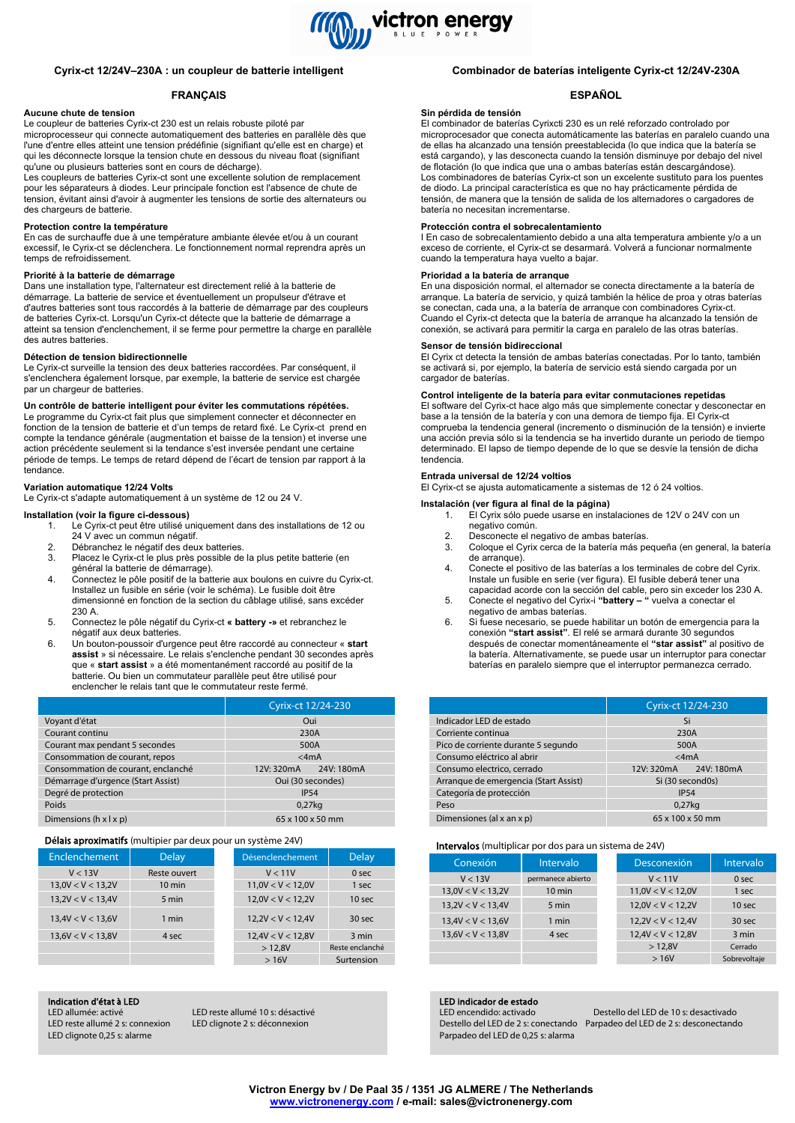

### **Cyrix-ct 12/24V–230A : un coupleur de batterie intelligent**

# **FRANÇAIS**

# **Aucune chute de tension**

Le coupleur de batteries Cyrix-ct 230 est un relais robuste piloté par microprocesseur qui connecte automatiquement des batteries en parallèle dès que l'une d'entre elles atteint une tension prédéfinie (signifiant qu'elle est en charge) et qui les déconnecte lorsque la tension chute en dessous du niveau float (signifiant qu'une ou plusieurs batteries sont en cours de décharge).

Les coupleurs de batteries Cyrix-ct sont une excellente solution de remplacement pour les séparateurs à diodes. Leur principale fonction est l'absence de chute de tension, évitant ainsi d'avoir à augmenter les tensions de sortie des alternateurs ou des chargeurs de batterie.

#### **Protection contre la température**

En cas de surchauffe due à une température ambiante élevée et/ou à un courant excessif, le Cyrix-ct se déclenchera. Le fonctionnement normal reprendra après un temps de refroidissement.

# **Priorité à la batterie de démarrage**

Dans une installation type, l'alternateur est directement relié à la batterie de démarrage. La batterie de service et éventuellement un propulseur d'étrave et d'autres batteries sont tous raccordés à la batterie de démarrage par des coupleurs de batteries Cyrix-ct. Lorsqu'un Cyrix-ct détecte que la batterie de démarrage a atteint sa tension d'enclenchement, il se ferme pour permettre la charge en parallèle des autres batteries.

## **Détection de tension bidirectionnelle**

Le Cyrix-ct surveille la tension des deux batteries raccordées. Par conséquent, il s'enclenchera également lorsque, par exemple, la batterie de service est chargée par un chargeur de batteries

## **Un contrôle de batterie intelligent pour éviter les commutations répétées.**

Le programme du Cyrix-ct fait plus que simplement connecter et déconnecter en fonction de la tension de batterie et d'un temps de retard fixé. Le Cyrix-ct prend en compte la tendance générale (augmentation et baisse de la tension) et inverse une action précédente seulement si la tendance s'est inversée pendant une certaine période de temps. Le temps de retard dépend de l'écart de tension par rapport à la tendance

### **Variation automatique 12/24 Volts**

Le Cyrix-ct s'adapte automatiquement à un système de 12 ou 24 V.

# **Installation (voir la figure ci-dessous)**

- 1. Le Cyrix-ct peut être utilisé uniquement dans des installations de 12 ou 24 V avec un commun négatif.
- 2. Débranchez le négatif des deux batteries.<br>3. Placez le Cyrix-ct le plus près possible de
- Placez le Cyrix-ct le plus près possible de la plus petite batterie (en général la batterie de démarrage).
- 4. Connectez le pôle positif de la batterie aux boulons en cuivre du Cyrix-ct. Installez un fusible en série (voir le schéma). Le fusible doit être dimensionné en fonction de la section du câblage utilisé, sans excéder 230 A.
- 5. Connectez le pôle négatif du Cyrix-ct **« battery -»** et rebranchez le négatif aux deux batteries.
- 6. Un bouton-poussoir d'urgence peut être raccordé au connecteur « **start assist** » si nécessaire. Le relais s'enclenche pendant 30 secondes après que « **start assist** » a été momentanément raccordé au positif de la batterie. Ou bien un commutateur parallèle peut être utilisé pour enclencher le relais tant que le commutateur reste fermé.

|                                      | Cyrix-ct 12/24-230       |  |
|--------------------------------------|--------------------------|--|
| Voyant d'état                        | Oui                      |  |
| Courant continu                      | 230A                     |  |
| Courant max pendant 5 secondes       | 500A                     |  |
| Consommation de courant, repos       | $<$ 4m $A$               |  |
| Consommation de courant, enclanché   | 12V: 320mA<br>24V: 180mA |  |
| Démarrage d'urgence (Start Assist)   | Oui (30 secondes)        |  |
| Degré de protection                  | <b>IP54</b>              |  |
| Poids                                | $0.27$ kg                |  |
| Dimensions ( $h \times l \times p$ ) | 65 x 100 x 50 mm         |  |

#### D**é**lais aproximatifs (multipier par deux pour un système 24V)

| Enclenchement     | <b>Delay</b> | Désenclenchement  | <b>Delay</b>    |
|-------------------|--------------|-------------------|-----------------|
| V < 13V           | Reste ouvert | V < 11V           | 0 sec           |
| 13,0V < V < 13,2V | $10$ min     | 11,0V < V < 12,0V | 1 sec           |
| 13,2V < V < 13,4V | 5 min        | 12,0V < V < 12,2V | 10 sec          |
| 13.4V < V < 13.6V | 1 min        | 12,2V < V < 12,4V | 30 sec          |
| 13,6V < V < 13,8V | 4 sec        | 12,4V < V < 12,8V | 3 min           |
|                   |              | >12,8V            | Reste enclanché |
|                   |              | >16V              | Surtension      |

# Indication d'état à LED

LED reste allumé 2 s: connexion LED clignote 2 s: déconnexion LED clignote 0,25 s: alarme

LED allumée: activé LED reste allumé 10 s: désactivé

# **Combinador de baterías inteligente Cyrix-ct 12/24V-230A**

# **ESPAÑOL**

#### **Sin pérdida de tensión**

El combinador de baterías Cyrixcti 230 es un relé reforzado controlado por microprocesador que conecta automáticamente las baterías en paralelo cuando una de ellas ha alcanzado una tensión preestablecida (lo que indica que la batería se está cargando), y las desconecta cuando la tensión disminuye por debajo del nivel de flotación (lo que indica que una o ambas baterías están descargándose). Los combinadores de baterías Cyrix-ct son un excelente sustituto para los puentes de diodo. La principal característica es que no hay prácticamente pérdida de tensión, de manera que la tensión de salida de los alternadores o cargadores de batería no necesitan incrementarse.

### **Protección contra el sobrecalentamiento**

I En caso de sobrecalentamiento debido a una alta temperatura ambiente y/o a un exceso de corriente, el Cyrix-ct se desarmará. Volverá a funcionar normalmente cuando la temperatura haya vuelto a bajar.

# **Prioridad a la batería de arranque**

En una disposición normal, el alternador se conecta directamente a la batería de arranque. La batería de servicio, y quizá también la hélice de proa y otras baterías se conectan, cada una, a la batería de arranque con combinadores Cyrix-ct. Cuando el Cyrix-ct detecta que la batería de arranque ha alcanzado la tensión de conexión, se activará para permitir la carga en paralelo de las otras baterías.

# **Sensor de tensión bidireccional**

El Cyrix ct detecta la tensión de ambas baterías conectadas. Por lo tanto, también se activará si, por ejemplo, la batería de servicio está siendo cargada por un cargador de baterías.

### **Control inteligente de la batería para evitar conmutaciones repetidas**

El software del Cyrix-ct hace algo más que simplemente conectar y desconectar en base a la tensión de la batería y con una demora de tiempo fija. El Cyrix-ct comprueba la tendencia general (incremento o disminución de la tensión) e invierte una acción previa sólo si la tendencia se ha invertido durante un periodo de tiempo determinado. El lapso de tiempo depende de lo que se desvíe la tensión de dicha tendencia.

#### **Entrada universal de 12/24 voltios**

El Cyrix-ct se ajusta automaticamente a sistemas de 12 ó 24 voltios.

### **Instalación (ver figura al final de la página)**

- 1. El Cyrix sólo puede usarse en instalaciones de 12V o 24V con un negativo común.
- 2. Desconecte el negativo de ambas baterías.<br>3. Cologue el Cyrix cerca de la batería más po
- 3. Coloque el Cyrix cerca de la batería más pequeña (en general, la batería de arranque).
- 4. Conecte el positivo de las baterías a los terminales de cobre del Cyrix. Instale un fusible en serie (ver figura). El fusible deberá tener una capacidad acorde con la sección del cable, pero sin exceder los 230 A.
- 5. Conecte el negativo del Cyrix-i **"battery – "** vuelva a conectar el negativo de ambas baterías.
- 6. Si fuese necesario, se puede habilitar un botón de emergencia para la conexión **"start assist"**. El relé se armará durante 30 segundos después de conectar momentáneamente el **"star assist"** al positivo de la batería. Alternativamente, se puede usar un interruptor para conectar baterías en paralelo siempre que el interruptor permanezca cerrado.

|                                       | Cyrix-ct 12/24-230       |  |
|---------------------------------------|--------------------------|--|
| Indicador LED de estado               | Si                       |  |
| Corriente continua                    | 230A                     |  |
| Pico de corriente durante 5 segundo   | 500A                     |  |
| Consumo eléctrico al abrir            | $<$ 4m $A$               |  |
| Consumo electrico, cerrado            | 12V: 320mA<br>24V: 180mA |  |
| Arranque de emergencia (Start Assist) | Si (30 second0s)         |  |
| Categoría de protección               | <b>IP54</b>              |  |
| Peso                                  | 0.27kg                   |  |
| Dimensiones (al x an x p)             | 65 x 100 x 50 mm         |  |

### Intervalos (multiplicar por dos para un sistema de 24V)

| $\mathbf{m}$ . The contract will be a part of $\mathbf{r}$ is the contract of $\mathbf{z}$ |                   |                   |              |
|--------------------------------------------------------------------------------------------|-------------------|-------------------|--------------|
| Conexión                                                                                   | Intervalo         | Desconexión       | Intervalo    |
| V < 13V                                                                                    | permanece abierto | V < 11V           | 0 sec        |
| 13,0V < V < 13,2V                                                                          | $10$ min          | 11,0V < V < 12,0V | 1 sec        |
| 13,2V < V < 13,4V                                                                          | 5 min             | 12,0V < V < 12,2V | 10 sec       |
| 13,4V < V < 13,6V                                                                          | 1 min             | 12,2V < V < 12,4V | 30 sec       |
| 13,6V < V < 13,8V                                                                          | 4 sec             | 12,4V < V < 12,8V | 3 min        |
|                                                                                            |                   | >12,8V            | Cerrado      |
|                                                                                            |                   | >16V              | Sobrevoltaje |

#### LED indicador de estado

**Cyrix-control Parpadeo del LED de 0,25 s: alarma** de la control de la control de la control de la control de la control de la control de la control de la control de la control de la control de la control de la control de

LED encendido: activado Destello del LED de 10 s: desactivado Destello del LED de 2 s: conectando Parpadeo del LED de 2 s: desconectando

**Victron Energy bv / De Paal 35 / 1351 JG ALMERE / The Netherlands [www.victronenergy.com](http://www.victronenergy.com/) / e-mail: sales@victronenergy.com**